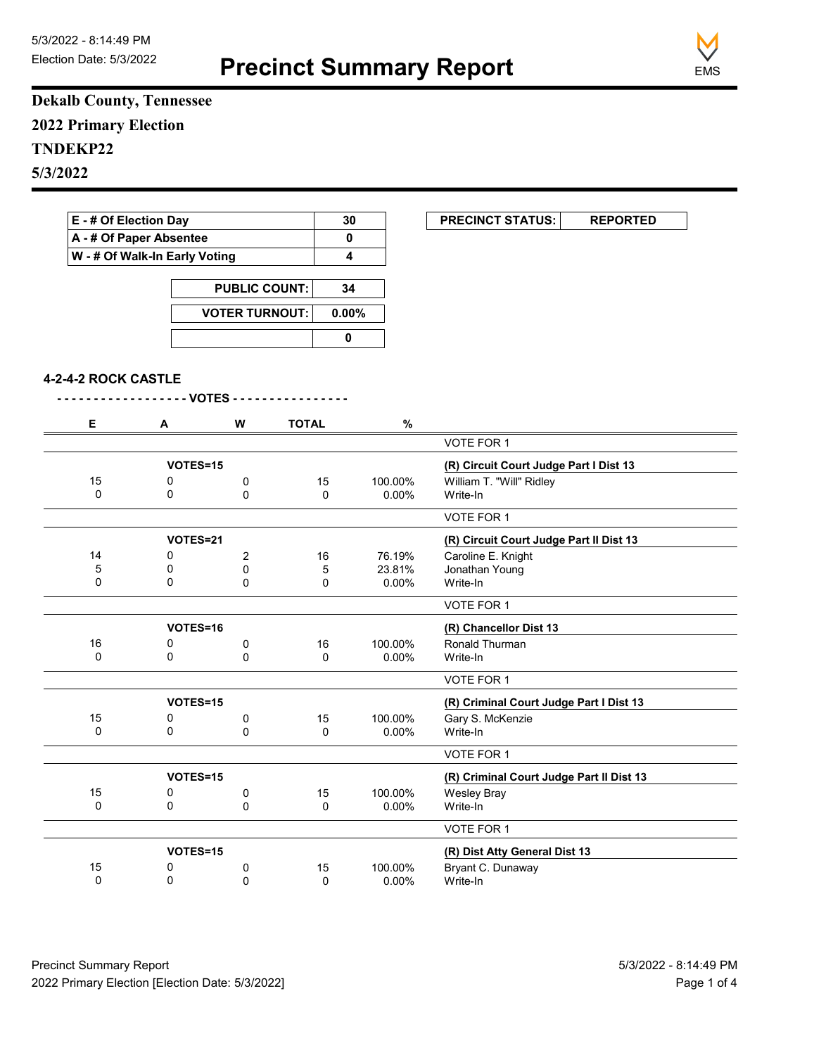**Precinct Summary Report**



**Dekalb County, Tennessee 2022 Primary Election TNDEKP22 5/3/2022**

| E - # Of Election Day         | 30                    | <b>PRECINCT STATUS:</b> | <b>REPORTED</b> |  |
|-------------------------------|-----------------------|-------------------------|-----------------|--|
| A - # Of Paper Absentee       |                       |                         |                 |  |
| W - # Of Walk-In Early Voting |                       |                         |                 |  |
|                               |                       |                         |                 |  |
|                               | <b>PUBLIC COUNT:</b>  | 34                      |                 |  |
|                               | <b>VOTER TURNOUT:</b> | $0.00\%$                |                 |  |
|                               |                       |                         |                 |  |

|  | 4-2-4-2 ROCK CASTLE |  |  |
|--|---------------------|--|--|
|--|---------------------|--|--|

| Е        | A        | W        | <b>TOTAL</b> | $\%$     |                                          |
|----------|----------|----------|--------------|----------|------------------------------------------|
|          |          |          |              |          | VOTE FOR 1                               |
|          | VOTES=15 |          |              |          | (R) Circuit Court Judge Part I Dist 13   |
| 15       | 0        | 0        | 15           | 100.00%  | William T. "Will" Ridley                 |
| 0        | 0        | $\Omega$ | $\Omega$     | $0.00\%$ | Write-In                                 |
|          |          |          |              |          | VOTE FOR 1                               |
|          | VOTES=21 |          |              |          | (R) Circuit Court Judge Part II Dist 13  |
| 14       | 0        | 2        | 16           | 76.19%   | Caroline E. Knight                       |
| 5        | 0        | 0        | 5            | 23.81%   | Jonathan Young                           |
| $\Omega$ | $\Omega$ | $\Omega$ | $\Omega$     | 0.00%    | Write-In                                 |
|          |          |          |              |          | VOTE FOR 1                               |
|          | VOTES=16 |          |              |          | (R) Chancellor Dist 13                   |
| 16       | 0        | 0        | 16           | 100.00%  | Ronald Thurman                           |
| 0        | 0        | 0        | 0            | $0.00\%$ | Write-In                                 |
|          |          |          |              |          | <b>VOTE FOR 1</b>                        |
|          | VOTES=15 |          |              |          | (R) Criminal Court Judge Part I Dist 13  |
| 15       | 0        | 0        | 15           | 100.00%  | Gary S. McKenzie                         |
| 0        | $\Omega$ | $\Omega$ | 0            | 0.00%    | Write-In                                 |
|          |          |          |              |          | <b>VOTE FOR 1</b>                        |
|          | VOTES=15 |          |              |          | (R) Criminal Court Judge Part II Dist 13 |
| 15       | 0        | 0        | 15           | 100.00%  | <b>Wesley Bray</b>                       |
| 0        | 0        | 0        | 0            | 0.00%    | Write-In                                 |
|          |          |          |              |          | VOTE FOR 1                               |
|          | VOTES=15 |          |              |          | (R) Dist Atty General Dist 13            |
| 15       | 0        | 0        | 15           | 100.00%  | Bryant C. Dunaway                        |
| 0        | 0        | $\Omega$ | $\Omega$     | $0.00\%$ | Write-In                                 |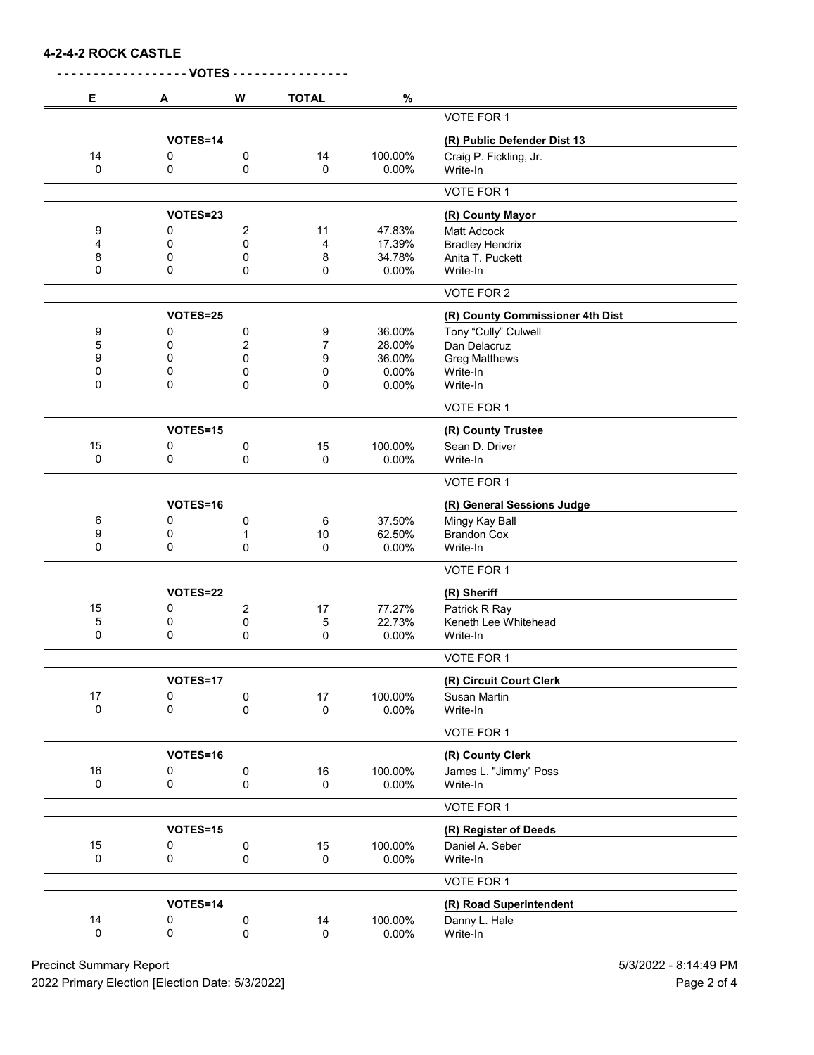**4-2-4-2 ROCK CASTLE**

| Е  | A        | W                       | <b>TOTAL</b>   | $\%$     |                                  |
|----|----------|-------------------------|----------------|----------|----------------------------------|
|    |          |                         |                |          | <b>VOTE FOR 1</b>                |
|    | VOTES=14 |                         |                |          | (R) Public Defender Dist 13      |
| 14 | 0        | 0                       | 14             | 100.00%  | Craig P. Fickling, Jr.           |
| 0  | 0        | 0                       | 0              | $0.00\%$ | Write-In                         |
|    |          |                         |                |          | VOTE FOR 1                       |
|    | VOTES=23 |                         |                |          | (R) County Mayor                 |
| 9  | 0        | $\overline{\mathbf{c}}$ | 11             | 47.83%   | <b>Matt Adcock</b>               |
| 4  | 0        | $\mathbf 0$             | 4              | 17.39%   | <b>Bradley Hendrix</b>           |
| 8  | 0        | 0                       | 8              | 34.78%   | Anita T. Puckett                 |
| 0  | 0        | 0                       | 0              | 0.00%    | Write-In                         |
|    |          |                         |                |          | VOTE FOR 2                       |
|    | VOTES=25 |                         |                |          | (R) County Commissioner 4th Dist |
| 9  | 0        | 0                       | 9              | 36.00%   | Tony "Cully" Culwell             |
| 5  | 0        | 2                       | $\overline{7}$ | 28.00%   | Dan Delacruz                     |
| 9  | 0        | 0                       | 9              | 36.00%   | <b>Greg Matthews</b>             |
| 0  | 0        | 0                       | 0              | 0.00%    | Write-In                         |
| 0  | 0        | 0                       | 0              | $0.00\%$ | Write-In                         |
|    |          |                         |                |          | VOTE FOR 1                       |
|    | VOTES=15 |                         |                |          | (R) County Trustee               |
| 15 | 0        | 0                       | 15             | 100.00%  | Sean D. Driver                   |
| 0  | 0        | 0                       | $\mathbf 0$    | $0.00\%$ | Write-In                         |
|    |          |                         |                |          | VOTE FOR 1                       |
|    | VOTES=16 |                         |                |          | (R) General Sessions Judge       |
| 6  | 0        | 0                       | 6              | 37.50%   | Mingy Kay Ball                   |
| 9  | 0        | 1                       | 10             | 62.50%   | <b>Brandon Cox</b>               |
| 0  | 0        | 0                       | $\mathbf 0$    | 0.00%    | Write-In                         |
|    |          |                         |                |          | VOTE FOR 1                       |
|    | VOTES=22 |                         |                |          | (R) Sheriff                      |
| 15 | 0        | $\overline{c}$          | 17             | 77.27%   | Patrick R Ray                    |
| 5  | 0        | 0                       | 5              | 22.73%   | Keneth Lee Whitehead             |
| 0  | 0        | 0                       | 0              | 0.00%    | Write-In                         |
|    |          |                         |                |          | VOTE FOR 1                       |
|    | VOTES=17 |                         |                |          | (R) Circuit Court Clerk          |
| 17 | 0        | 0                       | 17             | 100.00%  | Susan Martin                     |
| 0  | 0        | $\mathbf 0$             | 0              | $0.00\%$ | Write-In                         |
|    |          |                         |                |          | VOTE FOR 1                       |
|    | VOTES=16 |                         |                |          | (R) County Clerk                 |
| 16 | 0        | 0                       | 16             | 100.00%  | James L. "Jimmy" Poss            |
| 0  | 0        | $\mathbf 0$             | 0              | $0.00\%$ | Write-In                         |
|    |          |                         |                |          | VOTE FOR 1                       |
|    |          |                         |                |          |                                  |
|    | VOTES=15 |                         |                |          | (R) Register of Deeds            |
| 15 | 0        | 0                       | 15             | 100.00%  | Daniel A. Seber                  |
| 0  | 0        | $\mathbf 0$             | $\mathsf 0$    | $0.00\%$ | Write-In                         |
|    |          |                         |                |          | VOTE FOR 1                       |
|    | VOTES=14 |                         |                |          | (R) Road Superintendent          |
| 14 | 0        | 0                       | 14             | 100.00%  | Danny L. Hale                    |
| 0  | 0        | $\pmb{0}$               | $\pmb{0}$      | $0.00\%$ | Write-In                         |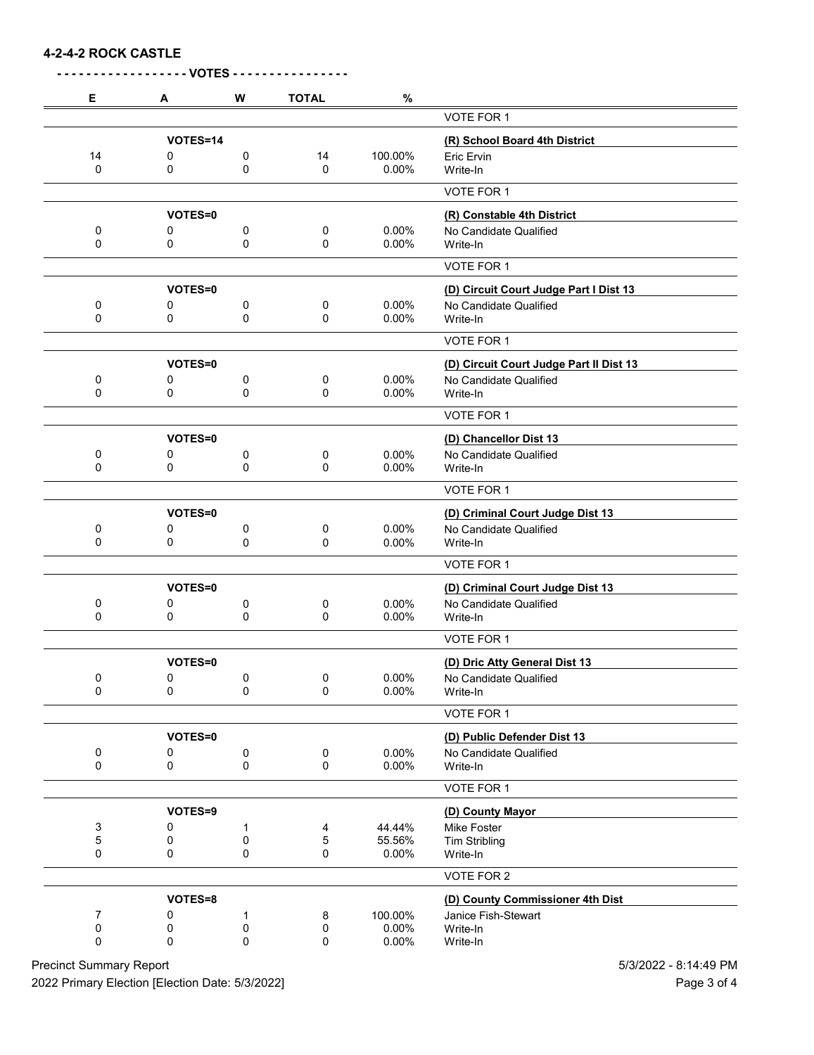**4-2-4-2 ROCK CASTLE**

| Е      | A              | W              | <b>TOTAL</b> | $\%$            |                                         |
|--------|----------------|----------------|--------------|-----------------|-----------------------------------------|
|        |                |                |              |                 | VOTE FOR 1                              |
|        | VOTES=14       |                |              |                 | (R) School Board 4th District           |
| 14     | 0              | 0              | 14           | 100.00%         | Eric Ervin                              |
| 0      | 0              | 0              | 0            | 0.00%           | Write-In                                |
|        |                |                |              |                 | VOTE FOR 1                              |
|        | VOTES=0        |                |              |                 | (R) Constable 4th District              |
| 0      | 0              | 0              | 0            | 0.00%           | No Candidate Qualified                  |
| 0      | 0              | 0              | 0            | 0.00%           | Write-In                                |
|        |                |                |              |                 | VOTE FOR 1                              |
|        | VOTES=0        |                |              |                 | (D) Circuit Court Judge Part I Dist 13  |
| 0      | 0              | 0              | 0            | 0.00%           | No Candidate Qualified                  |
| 0      | 0              | 0              | 0            | 0.00%           | Write-In                                |
|        |                |                |              |                 | VOTE FOR 1                              |
|        | VOTES=0        |                |              |                 | (D) Circuit Court Judge Part II Dist 13 |
| 0      | 0              | 0              | 0            | 0.00%           | No Candidate Qualified                  |
| 0      | 0              | 0              | 0            | 0.00%           | Write-In                                |
|        |                |                |              |                 | VOTE FOR 1                              |
|        | VOTES=0        |                |              |                 | (D) Chancellor Dist 13                  |
| 0      | 0              | 0              | 0            | 0.00%           | No Candidate Qualified                  |
| 0      | 0              | 0              | 0            | 0.00%           | Write-In                                |
|        |                |                |              |                 | VOTE FOR 1                              |
|        |                |                |              |                 |                                         |
|        | VOTES=0        |                |              |                 | (D) Criminal Court Judge Dist 13        |
| 0<br>0 | 0<br>0         | 0<br>0         | 0<br>0       | 0.00%<br>0.00%  | No Candidate Qualified<br>Write-In      |
|        |                |                |              |                 |                                         |
|        |                |                |              |                 | VOTE FOR 1                              |
|        | <b>VOTES=0</b> |                |              |                 | (D) Criminal Court Judge Dist 13        |
| 0<br>0 | 0<br>0         | 0              | 0            | 0.00%           | No Candidate Qualified                  |
|        |                | 0              | 0            | 0.00%           | Write-In                                |
|        |                |                |              |                 | VOTE FOR 1                              |
|        | VOTES=0        |                |              |                 | (D) Dric Atty General Dist 13           |
| 0      | $\pmb{0}$      | $\pmb{0}$      | 0            | 0.00%           | No Candidate Qualified                  |
| 0      | 0              | 0              | 0            | 0.00%           | Write-In                                |
|        |                |                |              |                 | VOTE FOR 1                              |
|        | VOTES=0        |                |              |                 | (D) Public Defender Dist 13             |
| 0      | 0              | 0              | 0            | 0.00%           | No Candidate Qualified                  |
| 0      | 0              | $\pmb{0}$      | $\pmb{0}$    | 0.00%           | Write-In                                |
|        |                |                |              |                 | VOTE FOR 1                              |
|        | VOTES=9        |                |              |                 | (D) County Mayor                        |
| 3      | 0              | 1              | 4            | 44.44%          | Mike Foster                             |
| 5<br>0 | 0<br>0         | $\pmb{0}$<br>0 | 5<br>0       | 55.56%<br>0.00% | <b>Tim Stribling</b><br>Write-In        |
|        |                |                |              |                 |                                         |
|        |                |                |              |                 | VOTE FOR 2                              |
|        | VOTES=8        |                |              |                 | (D) County Commissioner 4th Dist        |
| 7      | 0              | 1              | 8            | 100.00%         | Janice Fish-Stewart                     |
| 0<br>0 | 0<br>0         | 0              | 0<br>0       | 0.00%           | Write-In                                |
|        |                | 0              |              | 0.00%           | Write-In                                |